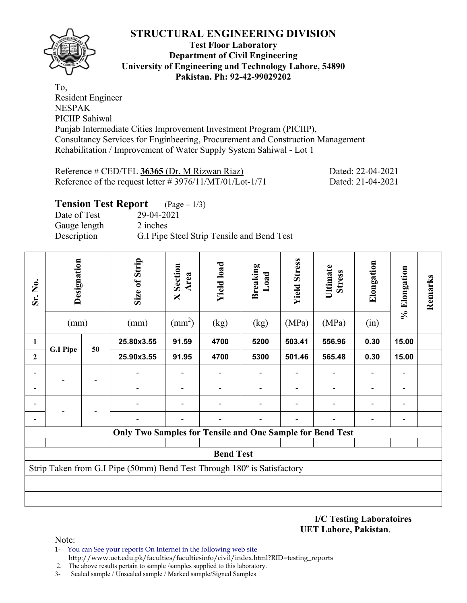

#### **Test Floor Laboratory Department of Civil Engineering University of Engineering and Technology Lahore, 54890 Pakistan. Ph: 92-42-99029202**

To, Resident Engineer NESPAK PICIIP Sahiwal Punjab Intermediate Cities Improvement Investment Program (PICIIP), Consultancy Services for Enginbeering, Procurement and Construction Management Rehabilitation / Improvement of Water Supply System Sahiwal - Lot 1

| Reference # CED/TFL 36365 (Dr. M Rizwan Riaz)               | Dated: 22-04-2021 |
|-------------------------------------------------------------|-------------------|
| Reference of the request letter $\# 3976/11/MT/01/Lot-1/71$ | Dated: 21-04-2021 |

## **Tension Test Report** (Page – 1/3)

Date of Test 29-04-2021 Gauge length 2 inches Description G.I Pipe Steel Strip Tensile and Bend Test

| Sr. No.      | Designation<br>(mm)                                                     |    |                                                                  |       | Size of Strip<br>(mm) | Section<br>Area<br>$\overline{\mathsf{X}}$<br>$\text{(mm}^2)$ | <b>Yield load</b><br>(kg) | <b>Breaking</b><br>Load<br>(kg) | <b>Yield Stress</b><br>(MPa) | Ultimate<br><b>Stress</b><br>(MPa) | Elongation<br>(in) | % Elongation | Remarks |
|--------------|-------------------------------------------------------------------------|----|------------------------------------------------------------------|-------|-----------------------|---------------------------------------------------------------|---------------------------|---------------------------------|------------------------------|------------------------------------|--------------------|--------------|---------|
| 1            |                                                                         | 50 | 25.80x3.55                                                       | 91.59 | 4700                  | 5200                                                          | 503.41                    | 556.96                          | 0.30                         | 15.00                              |                    |              |         |
| $\mathbf{2}$ | <b>G.I Pipe</b>                                                         |    | 25.90x3.55                                                       | 91.95 | 4700                  | 5300                                                          | 501.46                    | 565.48                          | 0.30                         | 15.00                              |                    |              |         |
|              |                                                                         |    |                                                                  |       |                       |                                                               |                           |                                 |                              |                                    |                    |              |         |
|              |                                                                         |    |                                                                  |       |                       |                                                               |                           |                                 |                              |                                    |                    |              |         |
|              |                                                                         |    |                                                                  |       |                       |                                                               |                           |                                 |                              |                                    |                    |              |         |
|              |                                                                         |    |                                                                  |       |                       |                                                               |                           |                                 |                              | -                                  |                    |              |         |
|              |                                                                         |    | <b>Only Two Samples for Tensile and One Sample for Bend Test</b> |       |                       |                                                               |                           |                                 |                              |                                    |                    |              |         |
|              |                                                                         |    |                                                                  |       |                       |                                                               |                           |                                 |                              |                                    |                    |              |         |
|              |                                                                         |    |                                                                  |       | <b>Bend Test</b>      |                                                               |                           |                                 |                              |                                    |                    |              |         |
|              | Strip Taken from G.I Pipe (50mm) Bend Test Through 180° is Satisfactory |    |                                                                  |       |                       |                                                               |                           |                                 |                              |                                    |                    |              |         |
|              |                                                                         |    |                                                                  |       |                       |                                                               |                           |                                 |                              |                                    |                    |              |         |
|              |                                                                         |    |                                                                  |       |                       |                                                               |                           |                                 |                              |                                    |                    |              |         |

**I/C Testing Laboratoires UET Lahore, Pakistan**.

Note:

- 1- You can See your reports On Internet in the following web site http://www.uet.edu.pk/faculties/facultiesinfo/civil/index.html?RID=testing\_reports
- 2. The above results pertain to sample /samples supplied to this laboratory.
- 3- Sealed sample / Unsealed sample / Marked sample/Signed Samples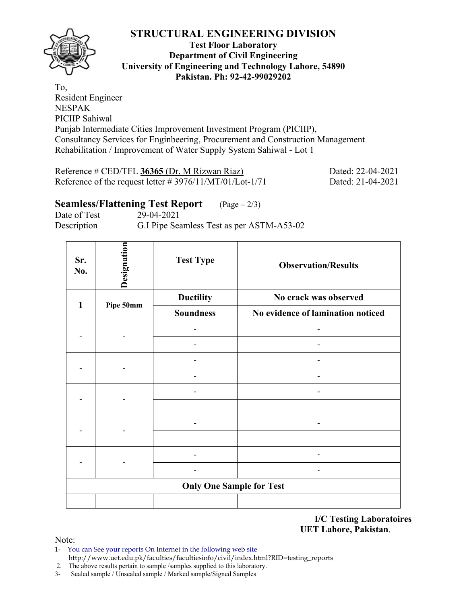

#### **Test Floor Laboratory Department of Civil Engineering University of Engineering and Technology Lahore, 54890 Pakistan. Ph: 92-42-99029202**

To, Resident Engineer NESPAK PICIIP Sahiwal Punjab Intermediate Cities Improvement Investment Program (PICIIP), Consultancy Services for Enginbeering, Procurement and Construction Management Rehabilitation / Improvement of Water Supply System Sahiwal - Lot 1

Reference # CED/TFL **36365** (Dr. M Rizwan Riaz) Dated: 22-04-2021 Reference of the request letter # 3976/11/MT/01/Lot-1/71 Dated: 21-04-2021

## **Seamless/Flattening Test Report** (Page – 2/3)

Date of Test 29-04-2021 Description G.I Pipe Seamless Test as per ASTM-A53-02

| Sr.<br>No.   | Designation                     | <b>Test Type</b> | <b>Observation/Results</b>        |  |  |  |  |  |  |  |  |
|--------------|---------------------------------|------------------|-----------------------------------|--|--|--|--|--|--|--|--|
| $\mathbf{1}$ |                                 | <b>Ductility</b> | No crack was observed             |  |  |  |  |  |  |  |  |
|              | Pipe 50mm                       | <b>Soundness</b> | No evidence of lamination noticed |  |  |  |  |  |  |  |  |
|              |                                 |                  |                                   |  |  |  |  |  |  |  |  |
|              |                                 |                  |                                   |  |  |  |  |  |  |  |  |
|              |                                 |                  |                                   |  |  |  |  |  |  |  |  |
|              |                                 |                  |                                   |  |  |  |  |  |  |  |  |
|              |                                 |                  | $\overline{\phantom{0}}$          |  |  |  |  |  |  |  |  |
|              |                                 |                  |                                   |  |  |  |  |  |  |  |  |
|              |                                 |                  |                                   |  |  |  |  |  |  |  |  |
|              |                                 |                  |                                   |  |  |  |  |  |  |  |  |
|              |                                 |                  |                                   |  |  |  |  |  |  |  |  |
|              |                                 |                  |                                   |  |  |  |  |  |  |  |  |
|              | <b>Only One Sample for Test</b> |                  |                                   |  |  |  |  |  |  |  |  |
|              |                                 |                  |                                   |  |  |  |  |  |  |  |  |

**I/C Testing Laboratoires UET Lahore, Pakistan**.

Note:

1- You can See your reports On Internet in the following web site http://www.uet.edu.pk/faculties/facultiesinfo/civil/index.html?RID=testing\_reports

2. The above results pertain to sample /samples supplied to this laboratory.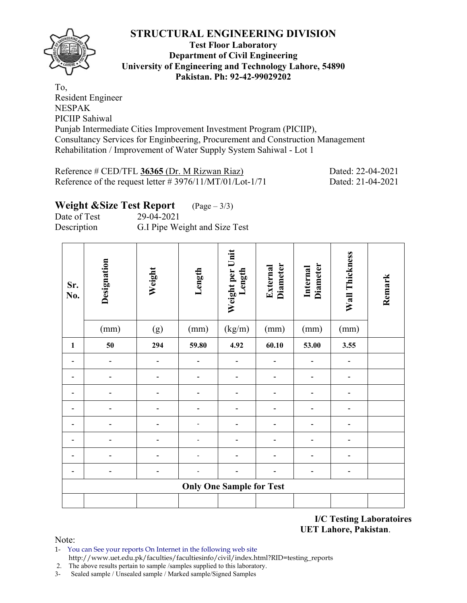

#### **Test Floor Laboratory Department of Civil Engineering University of Engineering and Technology Lahore, 54890 Pakistan. Ph: 92-42-99029202**

To, Resident Engineer NESPAK PICIIP Sahiwal Punjab Intermediate Cities Improvement Investment Program (PICIIP), Consultancy Services for Enginbeering, Procurement and Construction Management Rehabilitation / Improvement of Water Supply System Sahiwal - Lot 1

| Reference # CED/TFL 36365 (Dr. M Rizwan Riaz)               | Dated: 22-04-2021 |
|-------------------------------------------------------------|-------------------|
| Reference of the request letter $\# 3976/11/MT/01/Lot-1/71$ | Dated: 21-04-2021 |

# **Weight &Size Test Report** (Page – 3/3)

Date of Test 29-04-2021 Description G.I Pipe Weight and Size Test

| Sr.<br>No.   | Designation    | Weight         | Length | Weight per Unit<br>Length       | <b>Diameter</b><br>External | <b>Diameter</b><br>Internal | Wall Thickness               | Remark |
|--------------|----------------|----------------|--------|---------------------------------|-----------------------------|-----------------------------|------------------------------|--------|
|              | (mm)           | (g)            | (mm)   | (kg/m)                          | (mm)                        | (mm)                        | (mm)                         |        |
| $\mathbf{1}$ | 50             | 294            | 59.80  | 4.92                            | 60.10                       | 53.00                       | 3.55                         |        |
|              | $\blacksquare$ | $\blacksquare$ |        |                                 |                             |                             |                              |        |
|              |                |                |        |                                 |                             |                             |                              |        |
|              |                |                |        |                                 |                             |                             |                              |        |
|              |                |                |        |                                 |                             |                             | $\qquad \qquad \blacksquare$ |        |
|              |                |                |        |                                 |                             |                             |                              |        |
|              |                | -              |        |                                 |                             |                             |                              |        |
|              |                |                |        |                                 |                             |                             |                              |        |
|              |                | -              |        |                                 | -                           | -                           | $\overline{\phantom{a}}$     |        |
|              |                |                |        | <b>Only One Sample for Test</b> |                             |                             |                              |        |
|              |                |                |        |                                 |                             |                             |                              |        |

**I/C Testing Laboratoires UET Lahore, Pakistan**.

Note:

1- You can See your reports On Internet in the following web site http://www.uet.edu.pk/faculties/facultiesinfo/civil/index.html?RID=testing\_reports

2. The above results pertain to sample /samples supplied to this laboratory.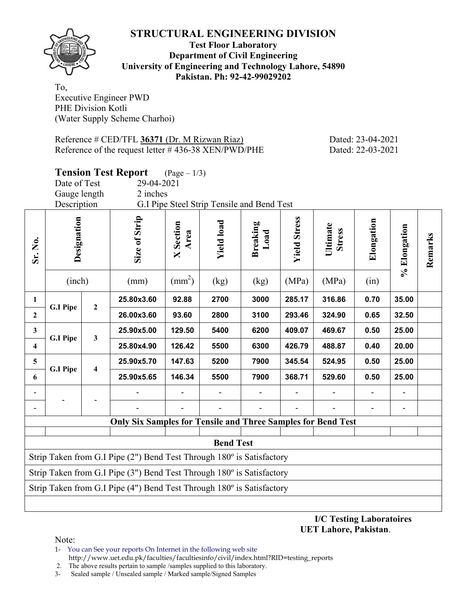

#### **Test Floor Laboratory Department of Civil Engineering University of Engineering and Technology Lahore, 54890 Pakistan. Ph: 92-42-99029202**

To, Executive Engineer PWD PHE Division Kotli (Water Supply Scheme Charhoi)

Reference # CED/TFL **36371** (Dr. M Rizwan Riaz) Dated: 23-04-2021 Reference of the request letter # 436-38 XEN/PWD/PHE Dated: 22-03-2021

|                         | <b>Tension Test Report</b><br>$(\text{Page} - 1/3)$ |                |                                                                                |                         |                                            |                         |                     |                           |            |                          |         |      |       |  |
|-------------------------|-----------------------------------------------------|----------------|--------------------------------------------------------------------------------|-------------------------|--------------------------------------------|-------------------------|---------------------|---------------------------|------------|--------------------------|---------|------|-------|--|
|                         | Date of Test                                        |                | 29-04-2021                                                                     |                         |                                            |                         |                     |                           |            |                          |         |      |       |  |
|                         | Gauge length                                        |                | 2 inches                                                                       |                         |                                            |                         |                     |                           |            |                          |         |      |       |  |
|                         | Description                                         |                |                                                                                |                         | G.I Pipe Steel Strip Tensile and Bend Test |                         |                     |                           |            |                          |         |      |       |  |
| Sr. No.                 | Designation                                         |                | Size of Strip                                                                  | Section<br>Area<br>X    | <b>Yield load</b>                          | <b>Breaking</b><br>Load | <b>Yield Stress</b> | Ultimate<br><b>Stress</b> | Elongation | % Elongation             | Remarks |      |       |  |
|                         | (inch)                                              |                | (mm)                                                                           | $\text{(mm}^2)$         | (kg)                                       | (kg)                    | (MPa)               | (MPa)                     | (in)       |                          |         |      |       |  |
| $\mathbf{1}$            | <b>G.I Pipe</b>                                     | $\overline{2}$ | 25.80x3.60                                                                     | 92.88                   | 2700                                       | 3000                    | 285.17              | 316.86                    | 0.70       | 35.00                    |         |      |       |  |
| $\mathbf{2}$            |                                                     |                | 26.00x3.60                                                                     | 93.60                   | 2800                                       | 3100                    | 293.46              | 324.90                    | 0.65       | 32.50                    |         |      |       |  |
| $\mathbf{3}$            | <b>G.I Pipe</b>                                     | $\mathbf{3}$   | 25.90x5.00                                                                     | 129.50                  | 5400                                       | 6200                    | 409.07              | 469.67                    | 0.50       | 25.00                    |         |      |       |  |
| $\overline{\mathbf{4}}$ |                                                     |                | 25.80x4.90                                                                     | 126.42                  | 5500                                       | 6300                    | 426.79              | 488.87                    | 0.40       | 20.00                    |         |      |       |  |
| $5\phantom{.0}$         | <b>G.I Pipe</b>                                     |                |                                                                                | $\overline{\mathbf{4}}$ |                                            | 25.90x5.70              | 147.63              | 5200                      | 7900       | 345.54                   | 524.95  | 0.50 | 25.00 |  |
| 6                       |                                                     |                | 25.90x5.65                                                                     | 146.34                  | 5500                                       | 7900                    | 368.71              | 529.60                    | 0.50       | 25.00                    |         |      |       |  |
|                         |                                                     |                |                                                                                |                         |                                            |                         |                     |                           |            |                          |         |      |       |  |
|                         |                                                     |                |                                                                                |                         |                                            |                         |                     |                           |            | $\overline{\phantom{a}}$ |         |      |       |  |
|                         |                                                     |                | <b>Only Six Samples for Tensile and Three Samples for Bend Test</b>            |                         |                                            |                         |                     |                           |            |                          |         |      |       |  |
|                         |                                                     |                |                                                                                |                         |                                            |                         |                     |                           |            |                          |         |      |       |  |
|                         |                                                     |                |                                                                                |                         | <b>Bend Test</b>                           |                         |                     |                           |            |                          |         |      |       |  |
|                         |                                                     |                | Strip Taken from G.I Pipe $(2")$ Bend Test Through $180^\circ$ is Satisfactory |                         |                                            |                         |                     |                           |            |                          |         |      |       |  |
|                         |                                                     |                | Strip Taken from G.I Pipe $(3")$ Bend Test Through $180^\circ$ is Satisfactory |                         |                                            |                         |                     |                           |            |                          |         |      |       |  |
|                         |                                                     |                | Strip Taken from G.I Pipe (4") Bend Test Through 180° is Satisfactory          |                         |                                            |                         |                     |                           |            |                          |         |      |       |  |
|                         |                                                     |                |                                                                                |                         |                                            |                         |                     |                           |            |                          |         |      |       |  |

**I/C Testing Laboratoires UET Lahore, Pakistan**.

Note:

1- You can See your reports On Internet in the following web site

 http://www.uet.edu.pk/faculties/facultiesinfo/civil/index.html?RID=testing\_reports 2. The above results pertain to sample /samples supplied to this laboratory.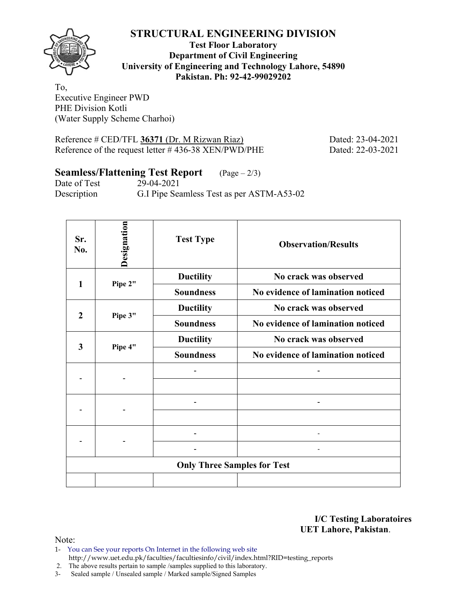

**Test Floor Laboratory Department of Civil Engineering University of Engineering and Technology Lahore, 54890 Pakistan. Ph: 92-42-99029202** 

To, Executive Engineer PWD PHE Division Kotli (Water Supply Scheme Charhoi)

Reference # CED/TFL **36371** (Dr. M Rizwan Riaz) Dated: 23-04-2021 Reference of the request letter # 436-38 XEN/PWD/PHE Dated: 22-03-2021

## **Seamless/Flattening Test Report** (Page – 2/3)

Date of Test 29-04-2021 Description G.I Pipe Seamless Test as per ASTM-A53-02

| Sr.<br>No.              | Designation | <b>Test Type</b>                   | <b>Observation/Results</b>        |
|-------------------------|-------------|------------------------------------|-----------------------------------|
| 1                       | Pipe 2"     | <b>Ductility</b>                   | No crack was observed             |
|                         |             | <b>Soundness</b>                   | No evidence of lamination noticed |
| $\overline{2}$          |             | <b>Ductility</b>                   | No crack was observed             |
|                         | Pipe 3"     | <b>Soundness</b>                   | No evidence of lamination noticed |
| $\overline{\mathbf{3}}$ |             | <b>Ductility</b>                   | No crack was observed             |
|                         | Pipe 4"     | <b>Soundness</b>                   | No evidence of lamination noticed |
|                         |             |                                    |                                   |
|                         |             |                                    |                                   |
|                         |             |                                    |                                   |
|                         |             |                                    |                                   |
|                         |             |                                    |                                   |
|                         |             |                                    |                                   |
|                         |             | <b>Only Three Samples for Test</b> |                                   |
|                         |             |                                    |                                   |

**I/C Testing Laboratoires UET Lahore, Pakistan**.

Note:

1- You can See your reports On Internet in the following web site http://www.uet.edu.pk/faculties/facultiesinfo/civil/index.html?RID=testing\_reports

2. The above results pertain to sample /samples supplied to this laboratory.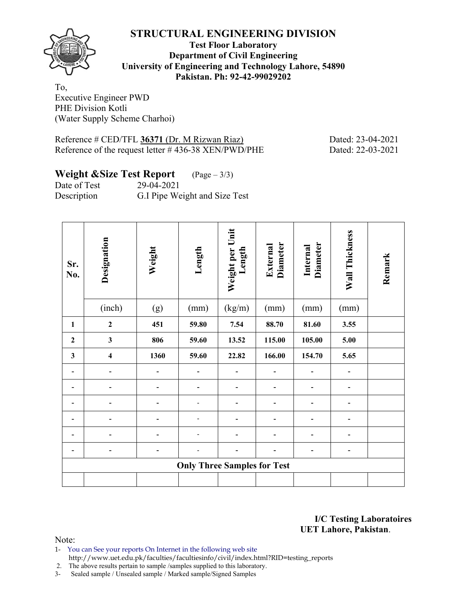

**Test Floor Laboratory Department of Civil Engineering University of Engineering and Technology Lahore, 54890 Pakistan. Ph: 92-42-99029202** 

To, Executive Engineer PWD PHE Division Kotli (Water Supply Scheme Charhoi)

Reference # CED/TFL **36371** (Dr. M Rizwan Riaz) Dated: 23-04-2021 Reference of the request letter # 436-38 XEN/PWD/PHE Dated: 22-03-2021

#### **Weight &Size Test Report** (Page – 3/3)

Date of Test 29-04-2021 Description G.I Pipe Weight and Size Test

| Sr.<br>No.   | Designation             | Weight | Length                             | Weight per Unit<br>Length | <b>Diameter</b><br>External | <b>Diameter</b><br>Internal | Wall Thickness | Remark |
|--------------|-------------------------|--------|------------------------------------|---------------------------|-----------------------------|-----------------------------|----------------|--------|
|              | (inch)                  | (g)    | (mm)                               | (kg/m)                    | (mm)                        | (mm)                        | (mm)           |        |
| $\mathbf{1}$ | $\overline{2}$          | 451    | 59.80                              | 7.54                      | 88.70                       | 81.60                       | 3.55           |        |
| $\mathbf{2}$ | $\mathbf{3}$            | 806    | 59.60                              | 13.52                     | 115.00                      | 105.00                      | 5.00           |        |
| $\mathbf{3}$ | $\overline{\mathbf{4}}$ | 1360   | 59.60                              | 22.82                     | 166.00                      | 154.70                      | 5.65           |        |
|              |                         |        |                                    |                           |                             |                             |                |        |
|              | $\overline{a}$          |        |                                    |                           |                             | $\overline{\phantom{a}}$    | ۰              |        |
|              |                         |        |                                    |                           |                             |                             |                |        |
|              |                         |        |                                    |                           |                             |                             |                |        |
|              |                         |        |                                    |                           |                             |                             |                |        |
|              |                         |        |                                    |                           |                             | -                           | -              |        |
|              |                         |        | <b>Only Three Samples for Test</b> |                           |                             |                             |                |        |
|              |                         |        |                                    |                           |                             |                             |                |        |

**I/C Testing Laboratoires UET Lahore, Pakistan**.

Note:

1- You can See your reports On Internet in the following web site http://www.uet.edu.pk/faculties/facultiesinfo/civil/index.html?RID=testing\_reports

2. The above results pertain to sample /samples supplied to this laboratory.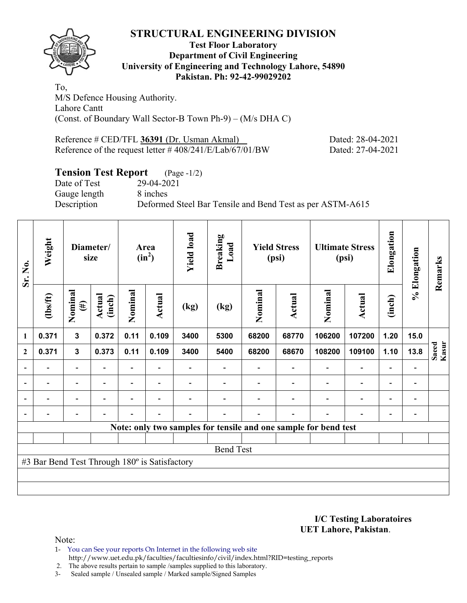

#### **Test Floor Laboratory Department of Civil Engineering University of Engineering and Technology Lahore, 54890 Pakistan. Ph: 92-42-99029202**

To, M/S Defence Housing Authority. Lahore Cantt (Const. of Boundary Wall Sector-B Town Ph-9) – (M/s DHA C)

Reference # CED/TFL 36391 (Dr. Usman Akmal) Dated: 28-04-2021 Reference of the request letter # 408/241/E/Lab/67/01/BW Dated: 27-04-2021

## **Tension Test Report** (Page -1/2)

Date of Test 29-04-2021 Gauge length 8 inches

Description Deformed Steel Bar Tensile and Bend Test as per ASTM-A615

| Sr. No.                  | Weight<br>Diameter/<br>size                   |                          |                          |                | Area<br>$(in^2)$         | <b>Yield load</b> | <b>Breaking</b><br>Load |         | <b>Yield Stress</b><br>(psi) |                                                                 | <b>Ultimate Stress</b><br>(psi) | Elongation                   | % Elongation                 | Remarks        |
|--------------------------|-----------------------------------------------|--------------------------|--------------------------|----------------|--------------------------|-------------------|-------------------------|---------|------------------------------|-----------------------------------------------------------------|---------------------------------|------------------------------|------------------------------|----------------|
|                          | $\frac{2}{10}$                                | Nominal<br>$(\#)$        | Actual<br>(inch)         | Nominal        | <b>Actual</b>            | (kg)              | (kg)                    | Nominal | Actual                       | Nominal                                                         | <b>Actual</b>                   | (inch)                       |                              |                |
| 1                        | 0.371                                         | $\overline{\mathbf{3}}$  | 0.372                    | 0.11           | 0.109                    | 3400              | 5300                    | 68200   | 68770                        | 106200                                                          | 107200                          | 1.20                         | 15.0                         |                |
| $\mathbf{2}$             | 0.371                                         | $\mathbf{3}$             | 0.373                    | 0.11           | 0.109                    | 3400              | 5400                    | 68200   | 68670                        | 108200                                                          | 109100                          | 1.10                         | 13.8                         | Saeed<br>Kasur |
|                          |                                               | Ξ.                       |                          |                |                          |                   |                         |         |                              |                                                                 | $\blacksquare$                  | $\overline{\phantom{0}}$     | $\blacksquare$               |                |
| $\blacksquare$           | $\overline{\phantom{0}}$                      | $\overline{\phantom{a}}$ | ۰                        |                | $\overline{\phantom{a}}$ |                   |                         |         |                              | $\overline{\phantom{0}}$                                        | $\overline{\phantom{0}}$        | $\overline{\phantom{0}}$     | $\blacksquare$               |                |
| $\overline{\phantom{0}}$ | -                                             | Ξ.                       | $\overline{\phantom{0}}$ | $\blacksquare$ | $\overline{\phantom{a}}$ |                   |                         |         | ۰                            | $\blacksquare$                                                  | $\overline{\phantom{a}}$        | $\qquad \qquad \blacksquare$ | $\qquad \qquad \blacksquare$ |                |
|                          |                                               | $\overline{a}$           |                          |                | $\blacksquare$           |                   |                         |         | $\overline{\phantom{0}}$     | $\overline{\phantom{0}}$                                        | $\overline{a}$                  | $\overline{\phantom{a}}$     |                              |                |
|                          |                                               |                          |                          |                |                          |                   |                         |         |                              | Note: only two samples for tensile and one sample for bend test |                                 |                              |                              |                |
|                          |                                               |                          |                          |                |                          |                   |                         |         |                              |                                                                 |                                 |                              |                              |                |
|                          |                                               |                          |                          |                |                          |                   | <b>Bend Test</b>        |         |                              |                                                                 |                                 |                              |                              |                |
|                          | #3 Bar Bend Test Through 180° is Satisfactory |                          |                          |                |                          |                   |                         |         |                              |                                                                 |                                 |                              |                              |                |
|                          |                                               |                          |                          |                |                          |                   |                         |         |                              |                                                                 |                                 |                              |                              |                |
|                          |                                               |                          |                          |                |                          |                   |                         |         |                              |                                                                 |                                 |                              |                              |                |

**I/C Testing Laboratoires UET Lahore, Pakistan**.

Note:

1- You can See your reports On Internet in the following web site http://www.uet.edu.pk/faculties/facultiesinfo/civil/index.html?RID=testing\_reports

2. The above results pertain to sample /samples supplied to this laboratory.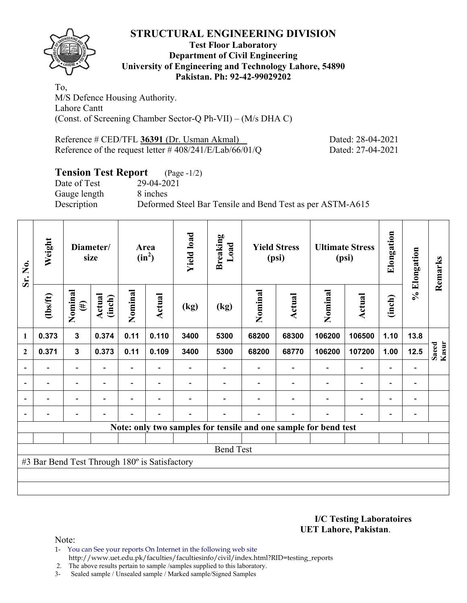

#### **Test Floor Laboratory Department of Civil Engineering University of Engineering and Technology Lahore, 54890 Pakistan. Ph: 92-42-99029202**

To, M/S Defence Housing Authority. Lahore Cantt (Const. of Screening Chamber Sector-Q Ph-VII) – (M/s DHA C)

Reference # CED/TFL 36391 (Dr. Usman Akmal) Dated: 28-04-2021 Reference of the request letter # 408/241/E/Lab/66/01/Q Dated: 27-04-2021

## **Tension Test Report** (Page -1/2)

Date of Test 29-04-2021 Gauge length 8 inches

Description Deformed Steel Bar Tensile and Bend Test as per ASTM-A615

| Sr. No.        | Weight<br>Diameter/<br>size                   |                          |                          | Area<br>$(in^2)$         |                | <b>Yield load</b> | <b>Breaking</b><br>Load | <b>Yield Stress</b><br>(psi) |                |                                                                 | <b>Ultimate Stress</b><br>(psi) | Elongation               | % Elongation                 | Remarks        |
|----------------|-----------------------------------------------|--------------------------|--------------------------|--------------------------|----------------|-------------------|-------------------------|------------------------------|----------------|-----------------------------------------------------------------|---------------------------------|--------------------------|------------------------------|----------------|
| 1              | $\frac{2}{10}$                                | Nominal<br>$(\#)$        | Actual<br>(inch)         | Nominal                  | Actual         | (kg)              | (kg)                    | Nominal                      | Actual         | Nominal                                                         | Actual                          | (inch)                   |                              |                |
|                | 0.373                                         | $\mathbf{3}$             | 0.374                    | 0.11                     | 0.110          | 3400              | 5300                    | 68200                        | 68300          | 106200                                                          | 106500                          | 1.10                     | 13.8                         |                |
| $\overline{2}$ | 0.371                                         | $\mathbf{3}$             | 0.373                    | 0.11                     | 0.109          | 3400              | 5300                    | 68200                        | 68770          | 106200                                                          | 107200                          | 1.00                     | 12.5                         | Kasur<br>Saeed |
|                |                                               | $\overline{\phantom{0}}$ |                          | $\overline{\phantom{0}}$ |                |                   |                         |                              |                |                                                                 | $\qquad \qquad \blacksquare$    | $\overline{\phantom{0}}$ |                              |                |
|                | $\overline{\phantom{0}}$                      | $\overline{\phantom{a}}$ |                          |                          | ٠              |                   |                         |                              |                |                                                                 | $\qquad \qquad \blacksquare$    | $\overline{a}$           | $\qquad \qquad \blacksquare$ |                |
|                | $\blacksquare$                                | $\overline{\phantom{a}}$ | $\overline{\phantom{0}}$ | Ξ.                       | $\blacksquare$ |                   |                         |                              | $\blacksquare$ | $\blacksquare$                                                  | $\overline{a}$                  | $\blacksquare$           | $\overline{\phantom{0}}$     |                |
|                | $\blacksquare$                                | $\overline{\phantom{a}}$ |                          |                          | ۰              |                   |                         |                              | $\blacksquare$ | ۰                                                               | $\overline{\phantom{0}}$        | $\overline{\phantom{a}}$ | $\blacksquare$               |                |
|                |                                               |                          |                          |                          |                |                   |                         |                              |                | Note: only two samples for tensile and one sample for bend test |                                 |                          |                              |                |
|                |                                               |                          |                          |                          |                |                   |                         |                              |                |                                                                 |                                 |                          |                              |                |
|                |                                               |                          |                          |                          |                |                   | <b>Bend Test</b>        |                              |                |                                                                 |                                 |                          |                              |                |
|                | #3 Bar Bend Test Through 180° is Satisfactory |                          |                          |                          |                |                   |                         |                              |                |                                                                 |                                 |                          |                              |                |
|                |                                               |                          |                          |                          |                |                   |                         |                              |                |                                                                 |                                 |                          |                              |                |
|                |                                               |                          |                          |                          |                |                   |                         |                              |                |                                                                 |                                 |                          |                              |                |

**I/C Testing Laboratoires UET Lahore, Pakistan**.

Note:

1- You can See your reports On Internet in the following web site http://www.uet.edu.pk/faculties/facultiesinfo/civil/index.html?RID=testing\_reports

2. The above results pertain to sample /samples supplied to this laboratory.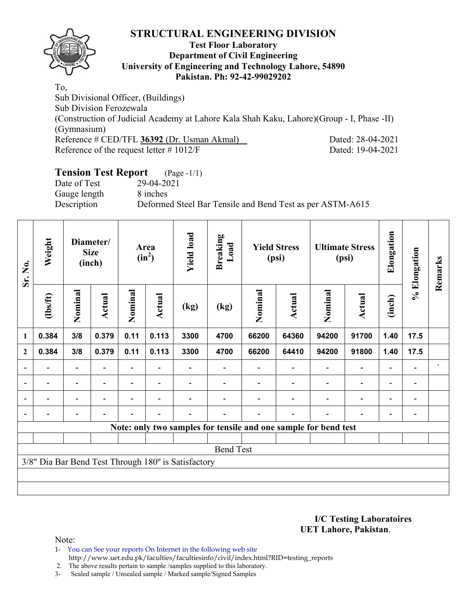

#### **Test Floor Laboratory Department of Civil Engineering University of Engineering and Technology Lahore, 54890 Pakistan. Ph: 92-42-99029202**

To, Sub Divisional Officer, (Buildings) Sub Division Ferozewala (Construction of Judicial Academy at Lahore Kala Shah Kaku, Lahore)(Group - I, Phase -II) (Gymnasium) Reference # CED/TFL **36392** (Dr. Usman Akmal) Dated: 28-04-2021 Reference of the request letter # 1012/F Dated: 19-04-2021

## **Tension Test Report** (Page -1/1)

Gauge length 8 inches

Date of Test 29-04-2021

Description Deformed Steel Bar Tensile and Bend Test as per ASTM-A615

| Sr. No.                  | Weight                                              |                          | Diameter/<br><b>Size</b><br>(inch) |         | Area<br>$(in^2)$         | <b>Yield load</b> | <b>Breaking</b><br>Load                                         |         | <b>Yield Stress</b><br>(psi) |                          | <b>Ultimate Stress</b><br>(psi) | Elongation               | % Elongation                 | Remarks      |
|--------------------------|-----------------------------------------------------|--------------------------|------------------------------------|---------|--------------------------|-------------------|-----------------------------------------------------------------|---------|------------------------------|--------------------------|---------------------------------|--------------------------|------------------------------|--------------|
|                          | $\frac{2}{10}$                                      | Nominal                  | Actual                             | Nominal | Actual                   | (kg)              | (kg)                                                            | Nominal | Actual                       | Nominal                  | <b>Actual</b>                   | (inch)                   |                              |              |
| $\mathbf{1}$             | 0.384                                               | 3/8                      | 0.379                              | 0.11    | 0.113                    | 3300              | 4700                                                            | 66200   | 64360                        | 94200                    | 91700                           | 1.40                     | 17.5                         |              |
| $\boldsymbol{2}$         | 0.384                                               | 3/8                      | 0.379                              | 0.11    | 0.113                    | 3300              | 4700                                                            | 66200   | 64410                        | 94200                    | 91800                           | 1.40                     | 17.5                         |              |
| $\blacksquare$           |                                                     | $\overline{\phantom{0}}$ |                                    |         |                          |                   |                                                                 |         |                              |                          | $\overline{\phantom{0}}$        | $\overline{a}$           |                              | $\mathbf{v}$ |
| $\overline{\phantom{a}}$ |                                                     | $\overline{\phantom{a}}$ |                                    |         | $\overline{\phantom{0}}$ |                   |                                                                 |         |                              | $\blacksquare$           | $\overline{\phantom{a}}$        | $\overline{\phantom{a}}$ | $\overline{\phantom{0}}$     |              |
| $\overline{\phantom{a}}$ | $\blacksquare$                                      | $\overline{\phantom{0}}$ | ۰                                  | -       | $\overline{\phantom{0}}$ |                   |                                                                 |         |                              | $\overline{\phantom{0}}$ | $\overline{a}$                  | $\qquad \qquad -$        | $\qquad \qquad \blacksquare$ |              |
| $\blacksquare$           |                                                     | $\blacksquare$           | $\blacksquare$                     |         | $\blacksquare$           |                   |                                                                 |         | $\blacksquare$               |                          | $\overline{\phantom{0}}$        | ۰                        |                              |              |
|                          |                                                     |                          |                                    |         |                          |                   | Note: only two samples for tensile and one sample for bend test |         |                              |                          |                                 |                          |                              |              |
|                          |                                                     |                          |                                    |         |                          |                   |                                                                 |         |                              |                          |                                 |                          |                              |              |
|                          |                                                     |                          |                                    |         |                          |                   | <b>Bend Test</b>                                                |         |                              |                          |                                 |                          |                              |              |
|                          | 3/8" Dia Bar Bend Test Through 180° is Satisfactory |                          |                                    |         |                          |                   |                                                                 |         |                              |                          |                                 |                          |                              |              |
|                          |                                                     |                          |                                    |         |                          |                   |                                                                 |         |                              |                          |                                 |                          |                              |              |
|                          |                                                     |                          |                                    |         |                          |                   |                                                                 |         |                              |                          |                                 |                          |                              |              |

#### **I/C Testing Laboratoires UET Lahore, Pakistan**.

Note:

1- You can See your reports On Internet in the following web site http://www.uet.edu.pk/faculties/facultiesinfo/civil/index.html?RID=testing\_reports

2. The above results pertain to sample /samples supplied to this laboratory.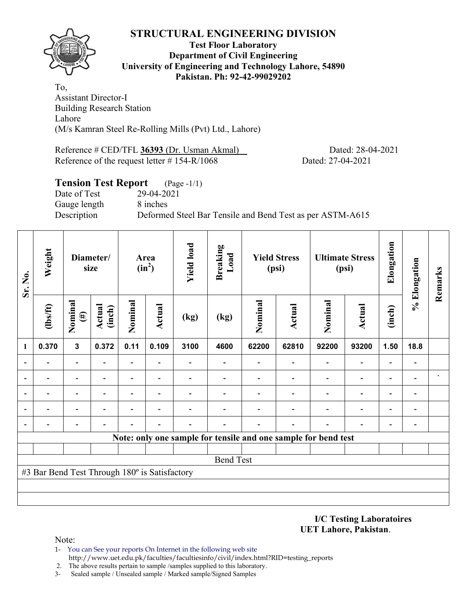

#### **Test Floor Laboratory Department of Civil Engineering University of Engineering and Technology Lahore, 54890 Pakistan. Ph: 92-42-99029202**

To, Assistant Director-I Building Research Station Lahore (M/s Kamran Steel Re-Rolling Mills (Pvt) Ltd., Lahore)

Reference # CED/TFL **36393** (Dr. Usman Akmal) Dated: 28-04-2021 Reference of the request letter # 154-R/1068 Dated: 27-04-2021

## **Tension Test Report** (Page -1/1) Date of Test 29-04-2021 Gauge length 8 inches Description Deformed Steel Bar Tensile and Bend Test as per ASTM-A615

| Sr. No.        | Weight                                        |                   | Diameter/<br>size       |                | Area<br>$(in^2)$ | <b>Yield load</b> | <b>Breaking</b><br>Load |         | <b>Yield Stress</b><br>(psi)                                   |         | <b>Ultimate Stress</b><br>(psi) | Elongation | % Elongation             | Remarks |
|----------------|-----------------------------------------------|-------------------|-------------------------|----------------|------------------|-------------------|-------------------------|---------|----------------------------------------------------------------|---------|---------------------------------|------------|--------------------------|---------|
| $\mathbf{1}$   | $\frac{2}{10}$                                | Nominal<br>$(\#)$ | <b>Actual</b><br>(inch) | Nominal        | Actual           | (kg)              | (kg)                    | Nominal | Actual                                                         | Nominal | <b>Actual</b>                   | (inch)     |                          |         |
|                | 0.370                                         | $\overline{3}$    | 0.372                   | 0.11           | 0.109            | 3100              | 4600                    | 62200   | 62810                                                          | 92200   | 93200                           | 1.50       | 18.8                     |         |
| $\blacksquare$ |                                               | $\blacksquare$    |                         |                |                  |                   |                         |         |                                                                |         |                                 |            |                          |         |
| $\blacksquare$ |                                               |                   |                         |                |                  |                   |                         |         |                                                                |         |                                 |            |                          |         |
|                |                                               | $\blacksquare$    |                         | $\blacksquare$ |                  |                   |                         |         |                                                                |         | $\blacksquare$                  | ۰          |                          |         |
|                |                                               | $\blacksquare$    |                         |                | $\blacksquare$   |                   |                         |         |                                                                |         |                                 |            |                          |         |
|                |                                               | -                 |                         |                |                  |                   |                         |         |                                                                |         |                                 | ٠          | $\overline{\phantom{0}}$ |         |
|                |                                               |                   |                         |                |                  |                   |                         |         | Note: only one sample for tensile and one sample for bend test |         |                                 |            |                          |         |
|                |                                               |                   |                         |                |                  |                   |                         |         |                                                                |         |                                 |            |                          |         |
|                |                                               |                   |                         |                |                  |                   | <b>Bend Test</b>        |         |                                                                |         |                                 |            |                          |         |
|                | #3 Bar Bend Test Through 180° is Satisfactory |                   |                         |                |                  |                   |                         |         |                                                                |         |                                 |            |                          |         |
|                |                                               |                   |                         |                |                  |                   |                         |         |                                                                |         |                                 |            |                          |         |
|                |                                               |                   |                         |                |                  |                   |                         |         |                                                                |         |                                 |            |                          |         |

**I/C Testing Laboratoires UET Lahore, Pakistan**.

Note:

- 1- You can See your reports On Internet in the following web site http://www.uet.edu.pk/faculties/facultiesinfo/civil/index.html?RID=testing\_reports
- 2. The above results pertain to sample /samples supplied to this laboratory.
- 3- Sealed sample / Unsealed sample / Marked sample/Signed Samples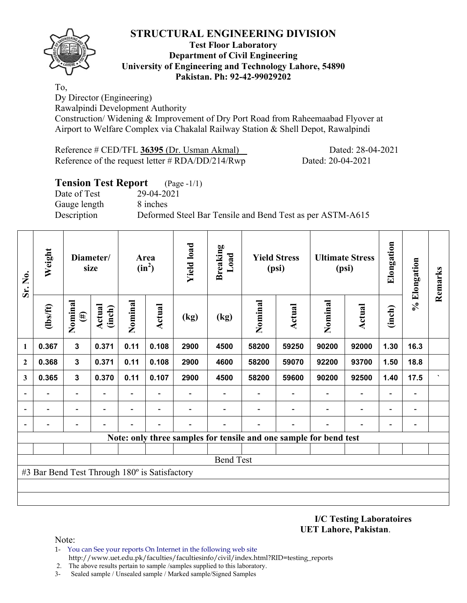

#### **Test Floor Laboratory Department of Civil Engineering University of Engineering and Technology Lahore, 54890 Pakistan. Ph: 92-42-99029202**

To, Dy Director (Engineering)

Rawalpindi Development Authority

Construction/ Widening & Improvement of Dry Port Road from Raheemaabad Flyover at Airport to Welfare Complex via Chakalal Railway Station & Shell Depot, Rawalpindi

Reference # CED/TFL **36395** (Dr. Usman Akmal) Dated: 28-04-2021 Reference of the request letter # RDA/DD/214/Rwp Dated: 20-04-2021

## **Tension Test Report** (Page -1/1) Date of Test 29-04-2021 Gauge length 8 inches Description Deformed Steel Bar Tensile and Bend Test as per ASTM-A615

| Sr. No.      | Weight                                                            | Diameter/<br>size |                         | Area<br>$(in^2)$         |                | <b>Yield load</b> | <b>Breaking</b><br>Load | <b>Yield Stress</b><br>(psi) |        | <b>Ultimate Stress</b><br>(psi) |                          | Elongation | % Elongation | Remarks |
|--------------|-------------------------------------------------------------------|-------------------|-------------------------|--------------------------|----------------|-------------------|-------------------------|------------------------------|--------|---------------------------------|--------------------------|------------|--------------|---------|
|              | $\frac{2}{10}$                                                    | Nominal<br>$(\#)$ | <b>Actual</b><br>(inch) | Nominal                  | <b>Actual</b>  | (kg)              | (kg)                    | Nominal                      | Actual | Nominal                         | <b>Actual</b>            | (inch)     |              |         |
| 1            | 0.367                                                             | $\mathbf{3}$      | 0.371                   | 0.11                     | 0.108          | 2900              | 4500                    | 58200                        | 59250  | 90200                           | 92000                    | 1.30       | 16.3         |         |
| $\mathbf{2}$ | 0.368                                                             | $\mathbf{3}$      | 0.371                   | 0.11                     | 0.108          | 2900              | 4600                    | 58200                        | 59070  | 92200                           | 93700                    | 1.50       | 18.8         |         |
| 3            | 0.365                                                             | 3                 | 0.370                   | 0.11                     | 0.107          | 2900              | 4500                    | 58200                        | 59600  | 90200                           | 92500                    | 1.40       | 17.5         |         |
|              |                                                                   | $\blacksquare$    |                         |                          |                |                   |                         |                              |        |                                 | $\overline{\phantom{0}}$ |            |              |         |
|              |                                                                   |                   |                         | $\overline{\phantom{0}}$ | $\blacksquare$ |                   |                         |                              |        |                                 | $\overline{\phantom{0}}$ |            |              |         |
|              |                                                                   |                   |                         |                          |                |                   |                         |                              |        |                                 |                          |            |              |         |
|              | Note: only three samples for tensile and one sample for bend test |                   |                         |                          |                |                   |                         |                              |        |                                 |                          |            |              |         |
|              |                                                                   |                   |                         |                          |                |                   |                         |                              |        |                                 |                          |            |              |         |
|              | <b>Bend Test</b>                                                  |                   |                         |                          |                |                   |                         |                              |        |                                 |                          |            |              |         |
|              | #3 Bar Bend Test Through 180° is Satisfactory                     |                   |                         |                          |                |                   |                         |                              |        |                                 |                          |            |              |         |
|              |                                                                   |                   |                         |                          |                |                   |                         |                              |        |                                 |                          |            |              |         |
|              |                                                                   |                   |                         |                          |                |                   |                         |                              |        |                                 |                          |            |              |         |

**I/C Testing Laboratoires UET Lahore, Pakistan**.

Note:

- 1- You can See your reports On Internet in the following web site http://www.uet.edu.pk/faculties/facultiesinfo/civil/index.html?RID=testing\_reports
- 2. The above results pertain to sample /samples supplied to this laboratory.
- 3- Sealed sample / Unsealed sample / Marked sample/Signed Samples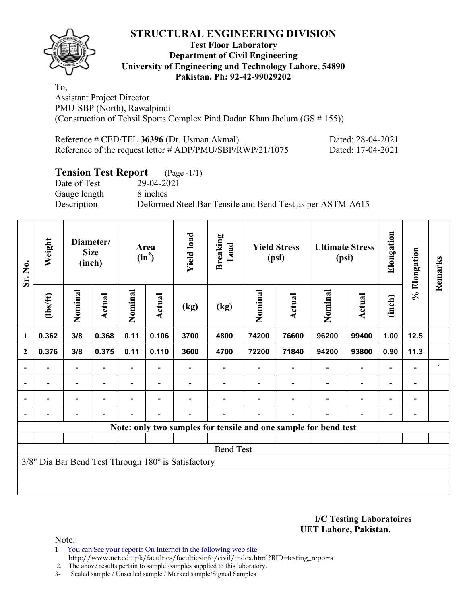

#### **Test Floor Laboratory Department of Civil Engineering University of Engineering and Technology Lahore, 54890 Pakistan. Ph: 92-42-99029202**

To, Assistant Project Director PMU-SBP (North), Rawalpindi (Construction of Tehsil Sports Complex Pind Dadan Khan Jhelum (GS # 155))

| Reference # CED/TFL 36396 (Dr. Usman Akmal)                  | Dated: 28-04-2021 |
|--------------------------------------------------------------|-------------------|
| Reference of the request letter $\#$ ADP/PMU/SBP/RWP/21/1075 | Dated: 17-04-2021 |

## **Tension Test Report** (Page -1/1)

Date of Test 29-04-2021 Gauge length 8 inches

Description Deformed Steel Bar Tensile and Bend Test as per ASTM-A615

| Sr. No.                  | Weight         | Diameter/<br><b>Size</b><br>(inch) |                          | Area<br>$(in^2)$         |                          | <b>Yield load</b>                                   | <b>Breaking</b><br>Load | <b>Yield Stress</b><br>(psi) |                                                                 | <b>Ultimate Stress</b><br>(psi) |                | Elongation               | % Elongation             | Remarks        |
|--------------------------|----------------|------------------------------------|--------------------------|--------------------------|--------------------------|-----------------------------------------------------|-------------------------|------------------------------|-----------------------------------------------------------------|---------------------------------|----------------|--------------------------|--------------------------|----------------|
|                          | (1bs/ft)       | Nominal                            | Actual                   | Nominal                  | <b>Actual</b>            | (kg)                                                | (kg)                    | Nominal                      | Actual                                                          | Nominal                         | <b>Actual</b>  | (inch)                   |                          |                |
| 1                        | 0.362          | 3/8                                | 0.368                    | 0.11                     | 0.106                    | 3700                                                | 4800                    | 74200                        | 76600                                                           | 96200                           | 99400          | 1.00                     | 12.5                     |                |
| $\mathbf{2}$             | 0.376          | 3/8                                | 0.375                    | 0.11                     | 0.110                    | 3600                                                | 4700                    | 72200                        | 71840                                                           | 94200                           | 93800          | 0.90                     | 11.3                     |                |
| $\overline{a}$           |                | -                                  |                          |                          |                          |                                                     |                         |                              |                                                                 |                                 | $\blacksquare$ | $\blacksquare$           |                          | $\blacksquare$ |
| $\overline{\phantom{0}}$ | -              | $\blacksquare$                     | $\overline{\phantom{0}}$ | $\overline{\phantom{0}}$ |                          |                                                     |                         |                              |                                                                 |                                 | $\overline{a}$ | $\overline{\phantom{0}}$ | $\overline{\phantom{a}}$ |                |
|                          | $\blacksquare$ | Ξ.                                 | ۰                        | $\blacksquare$           | $\blacksquare$           |                                                     |                         |                              |                                                                 | $\blacksquare$                  | $\blacksquare$ | $\overline{\phantom{0}}$ | $\blacksquare$           |                |
|                          |                | -                                  | $\overline{a}$           |                          | $\overline{\phantom{a}}$ |                                                     |                         |                              |                                                                 |                                 |                |                          |                          |                |
|                          |                |                                    |                          |                          |                          |                                                     |                         |                              | Note: only two samples for tensile and one sample for bend test |                                 |                |                          |                          |                |
|                          |                |                                    |                          |                          |                          |                                                     |                         |                              |                                                                 |                                 |                |                          |                          |                |
|                          |                |                                    |                          |                          |                          |                                                     | <b>Bend Test</b>        |                              |                                                                 |                                 |                |                          |                          |                |
|                          |                |                                    |                          |                          |                          | 3/8" Dia Bar Bend Test Through 180° is Satisfactory |                         |                              |                                                                 |                                 |                |                          |                          |                |
|                          |                |                                    |                          |                          |                          |                                                     |                         |                              |                                                                 |                                 |                |                          |                          |                |
|                          |                |                                    |                          |                          |                          |                                                     |                         |                              |                                                                 |                                 |                |                          |                          |                |

**I/C Testing Laboratoires UET Lahore, Pakistan**.

Note:

1- You can See your reports On Internet in the following web site http://www.uet.edu.pk/faculties/facultiesinfo/civil/index.html?RID=testing\_reports

2. The above results pertain to sample /samples supplied to this laboratory.